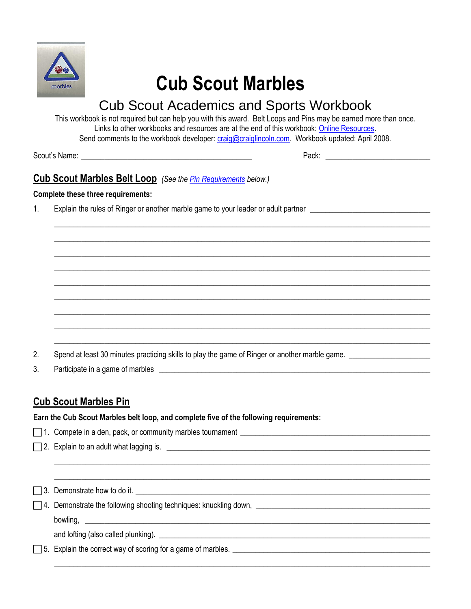

# **Cub Scout Marbles**

## Cub Scout Academics and Sports Workbook

This workbook is not required but can help you with this award. Belt Loops and Pins may be earned more than once. Links to other workbooks and resources are at the end of this workbook: [Online Resources.](#page-1-0) Send comments to the workbook developer[: craig@craiglincoln.com.](mailto:craig@craiglincoln.com) Workbook updated: April 2008.

 $\_$  ,  $\_$  ,  $\_$  ,  $\_$  ,  $\_$  ,  $\_$  ,  $\_$  ,  $\_$  ,  $\_$  ,  $\_$  ,  $\_$  ,  $\_$  ,  $\_$  ,  $\_$  ,  $\_$  ,  $\_$  ,  $\_$  ,  $\_$  ,  $\_$  ,  $\_$  ,  $\_$  ,  $\_$  ,  $\_$  ,  $\_$  ,  $\_$  ,  $\_$  ,  $\_$  ,  $\_$  ,  $\_$  ,  $\_$  ,  $\_$  ,  $\_$  ,  $\_$  ,  $\_$  ,  $\_$  ,  $\_$  ,  $\_$  ,  $\_$  ,  $\_$  ,  $\_$  ,  $\_$  ,  $\_$  ,  $\_$  ,  $\_$  ,  $\_$  ,  $\_$  ,  $\_$  ,  $\_$  ,  $\_$  ,  $\_$  ,  $\_$  ,  $\_$  ,  $\_$  ,  $\_$  ,  $\_$  ,  $\_$  ,  $\_$  ,  $\_$  ,  $\_$  ,  $\_$  ,  $\_$  ,  $\_$  ,  $\_$  ,  $\_$  ,  $\_$  ,  $\_$  ,  $\_$  ,  $\_$  ,  $\_$  ,  $\_$  ,  $\_$  ,  $\_$  ,  $\_$  ,  $\_$  ,  $\_$  ,  $\_$  ,  $\_$  ,  $\_$  ,  $\_$  ,  $\_$  ,  $\_$  ,  $\_$  ,  $\_$  ,  $\_$  ,  $\_$  ,  $\_$  ,  $\_$  ,  $\_$  ,  $\_$  ,  $\_$  ,  $\_$  ,  $\_$  ,  $\_$  ,  $\_$  ,  $\_$  ,  $\_$  ,  $\_$  ,  $\_$  ,  $\_$  ,  $\_$  ,  $\_$  ,  $\_$  ,  $\_$  ,  $\_$  ,  $\_$  ,  $\_$  ,  $\_$  ,  $\_$  ,  $\_$  ,  $\_$  ,  $\_$  ,  $\_$  ,  $\_$  ,  $\_$  ,  $\_$  ,  $\_$  ,  $\_$  ,  $\_$  ,  $\_$  ,  $\_$  ,  $\_$  ,  $\_$  ,  $\_$  ,  $\_$  ,  $\_$  ,  $\_$  ,  $\_$  ,  $\_$  ,  $\_$  ,  $\_$  ,  $\_$  ,  $\_$  ,  $\_$  ,  $\_$  ,  $\_$  ,  $\_$  ,  $\_$  ,  $\_$  ,  $\_$  ,  $\_$  ,  $\_$  ,  $\_$  ,  $\_$  ,  $\_$  ,  $\_$  ,  $\_$  ,  $\_$  ,  $\_$  ,  $\_$  ,  $\_$  ,  $\_$  ,  $\_$  ,  $\_$  ,  $\_$  ,  $\_$  ,  $\_$  ,  $\_$  ,  $\_$  ,  $\_$  ,  $\_$  ,  $\_$  ,  $\_$  ,  $\_$  ,  $\_$  ,  $\_$  ,  $\_$  ,  $\_$  ,  $\_$  ,  $\_$  ,  $\_$  ,  $\_$  ,  $\_$  ,  $\_$  ,  $\_$  ,  $\_$  ,  $\_$  ,  $\_$  ,  $\_$  ,  $\_$  ,  $\_$  ,  $\_$  ,  $\_$  ,  $\_$  ,  $\_$  ,  $\_$  ,  $\_$  ,  $\_$  ,  $\_$  ,  $\_$  ,  $\_$  ,  $\_$  ,  $\_$  ,  $\_$  ,  $\_$  ,  $\_$  ,  $\_$  ,  $\_$  ,  $\_$  ,  $\_$  ,  $\_$  ,  $\_$  ,  $\_$  ,  $\_$  ,  $\_$  ,  $\_$  ,  $\_$  ,  $\_$  ,  $\_$  ,  $\_$  ,  $\_$  ,  $\_$  ,  $\_$  ,  $\_$  ,  $\_$  ,  $\_$  ,  $\_$  ,  $\_$  ,  $\_$  ,  $\_$  ,  $\_$  ,  $\_$  ,  $\_$  ,  $\_$  ,  $\_$  ,  $\_$  ,  $\_$  ,  $\_$  ,  $\_$  ,  $\_$  ,  $\_$  ,  $\_$  ,  $\_$  ,  $\_$  ,  $\_$  ,  $\_$  ,  $\_$  ,  $\_$  ,  $\_$  ,  $\_$  ,  $\_$  ,  $\_$  ,  $\_$  ,  $\_$  ,  $\_$  ,  $\_$  ,  $\_$  ,  $\_$  ,  $\_$  ,  $\_$  ,  $\_$  ,  $\_$  ,  $\_$  ,  $\_$  ,  $\_$  ,  $\_$  ,  $\_$  ,  $\_$  ,  $\_$  ,  $\_$  ,  $\_$  ,  $\_$  ,  $\_$  ,  $\_$  ,  $\_$  ,  $\_$  ,  $\_$  ,  $\_$  ,  $\_$  ,  $\_$  ,  $\_$  ,  $\_$  ,  $\_$  ,  $\_$  ,  $\_$  ,  $\_$  ,  $\_$  ,  $\_$  ,  $\_$  ,  $\_$  ,  $\_$  ,  $\_$  ,  $\_$  ,  $\_$  ,  $\_$  ,  $\_$  ,  $\_$  ,  $\_$  ,  $\_$  ,  $\_$  ,  $\_$  ,  $\_$  ,  $\_$  ,  $\_$  ,  $\_$  ,  $\_$  ,  $\_$  ,  $\_$  ,  $\_$  ,  $\_$  ,  $\_$  ,  $\_$  ,  $\_$  ,  $\_$  ,  $\_$  ,  $\_$  ,  $\_$  ,  $\_$  ,  $\_$  ,  $\_$  ,  $\_$  ,  $\_$  ,  $\_$  ,  $\_$  ,  $\_$  ,  $\_$  ,  $\_$  ,  $\_$  ,  $\_$  ,  $\_$  ,  $\_$  ,  $\_$  ,  $\_$  ,  $\_$  ,  $\_$  ,  $\_$  ,  $\_$  ,  $\_$  ,  $\_$  ,  $\_$  ,  $\_$  ,  $\_$  ,  $\_$  ,  $\_$  ,

Scout's Name: \_\_\_\_\_\_\_\_\_\_\_\_\_\_\_\_\_\_\_\_\_\_\_\_\_\_\_\_\_\_\_\_\_\_\_\_\_\_\_\_\_\_\_\_ Pack: \_\_\_\_\_\_\_\_\_\_\_\_\_\_\_\_\_\_\_\_\_\_\_\_\_\_\_

#### **Cub Scout Marbles Belt Loop** *(See th[e Pin Requirements](#page-0-0) below.)*

#### **Complete these three requirements:**

1. Explain the rules of Ringer or another marble game to your leader or adult partner

- 2. Spend at least 30 minutes practicing skills to play the game of Ringer or another marble game. \_\_\_\_\_\_\_\_\_\_\_\_
- 3. Participate in a game of marbles

### <span id="page-0-0"></span>**Cub Scout Marbles Pin**

**Earn the Cub Scout Marbles belt loop, and complete five of the following requirements:**